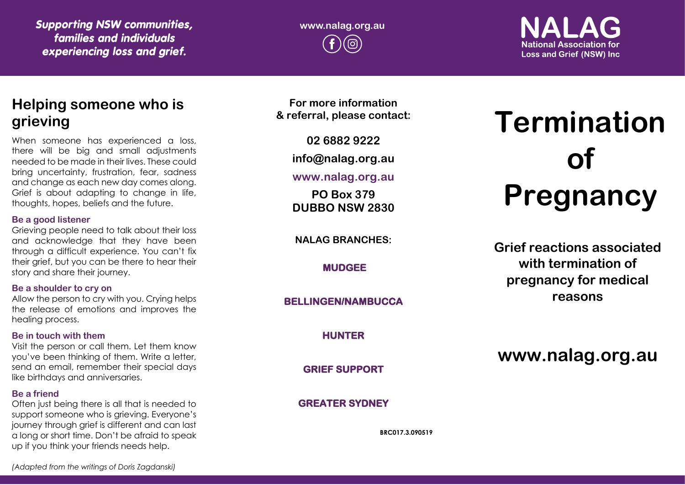*Supporting NSW communities, families and individuals experiencing loss and grief.*

## **www.nalag.org.au**

### **National Association for Loss and Grief (NSW) Inc.**

### **Helping someone who is grieving**

When someone has experienced a loss, there will be big and small adjustments needed to be made in their lives. These could bring uncertainty, frustration, fear, sadness and change as each new day comes along. Grief is about adapting to change in life, thoughts, hopes, beliefs and the future.

#### **Be a good listener**

Grieving people need to talk about their loss and acknowledge that they have been through a difficult experience. You can't fix their grief, but you can be there to hear their story and share their journey.

#### **Be a shoulder to cry on**

Allow the person to cry with you. Crying helps the release of emotions and improves the healing process.

#### **Be in touch with them**

Visit the person or call them. Let them know you've been thinking of them. Write a letter, send an email, remember their special days like birthdays and anniversaries.

#### **Be a friend**

Often just being there is all that is needed to support someone who is grieving. Everyone's journey through grief is different and can last a long or short time. Don't be afraid to speak up if you think your friends needs help.

**For more information & referral, please contact:**

**02 6882 9222**

**info@nalag.org.au**

#### **www.nalag.org.au**

**PO Box 379 DUBBO NSW 2830**

**NALAG BRANCHES:**

**MUDGEE** 

**BELLINGEN/NAMBUCCA** 

**HUNTER** 

**GRIEF SUPPORT** 

#### **GREATER SYDNEY**

**BRC017.3.090519**

# **Termination of Pregnancy**

**Grief reactions associated with termination of pregnancy for medical reasons**

**www.nalag.org.au**

*(Adapted from the writings of Doris Zagdanski)*